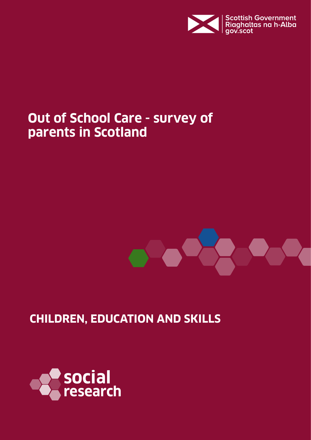

## **Out of School Care - survey of parents in Scotland**



## **CHILDREN, EDUCATION AND SKILLS**

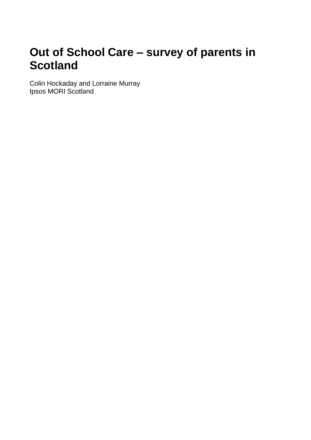## **Out of School Care – survey of parents in Scotland**

Colin Hockaday and Lorraine Murray Ipsos MORI Scotland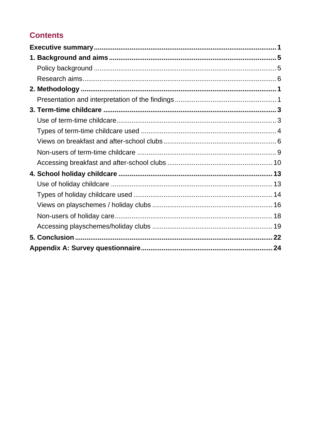## **Contents**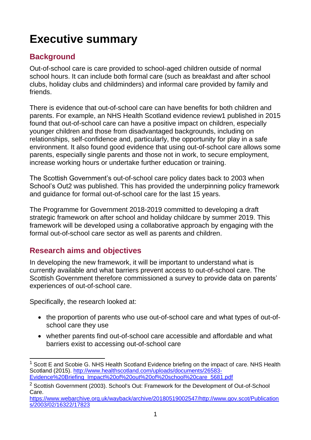## <span id="page-3-0"></span>**Executive summary**

## **Background**

Out-of-school care is care provided to school-aged children outside of normal school hours. It can include both formal care (such as breakfast and after school clubs, holiday clubs and childminders) and informal care provided by family and friends.

There is evidence that out-of-school care can have benefits for both children and parents. For example, an [NHS Health Scotland evidence review1](http://www.healthscotland.com/documents/26583.aspx) published in 2015 found that out-of-school care can have a positive impact on children, especially younger children and those from disadvantaged backgrounds, including on relationships, self-confidence and, particularly, the opportunity for play in a safe environment. It also found good evidence that using out-of-school care allows some parents, especially single parents and those not in work, to secure employment, increase working hours or undertake further education or training.

The Scottish Government's out-of-school care policy dates back to 2003 when School's Out2 was published. This has provided the underpinning policy framework and guidance for formal out-of-school care for the last 15 years.

The [Programme for Government 2018-2019](https://www.gov.scot/publications/delivering-today-investing-tomorrow-governments-programme-scotland-2018-19/) committed to developing a draft strategic framework on after school and holiday childcare by summer 2019. This framework will be developed using a collaborative approach by engaging with the formal out-of-school care sector as well as parents and children.

## **Research aims and objectives**

In developing the new framework, it will be important to understand what is currently available and what barriers prevent access to out-of-school care. The Scottish Government therefore commissioned a survey to provide data on parents' experiences of out-of-school care.

Specifically, the research looked at:

- the proportion of parents who use out-of-school care and what types of out-ofschool care they use
- whether parents find out-of-school care accessible and affordable and what barriers exist to accessing out-of-school care

 $\overline{a}$  $1$  Scott E and Scobie G. NHS Health Scotland Evidence briefing on the impact of care. NHS Health Scotland (2015). [http://www.healthscotland.com/uploads/documents/26583-](http://www.healthscotland.com/uploads/documents/26583-Evidence%20Briefing_Impact%20of%20out%20of%20school%20care_5681.pdf) [Evidence%20Briefing\\_Impact%20of%20out%20of%20school%20care\\_5681.pdf](http://www.healthscotland.com/uploads/documents/26583-Evidence%20Briefing_Impact%20of%20out%20of%20school%20care_5681.pdf)

<sup>&</sup>lt;sup>2</sup> Scottish Government (2003). School's Out: Framework for the Development of Out-of-School Care.

[https://www.webarchive.org.uk/wayback/archive/20180519002547/http://www.gov.scot/Publication](https://www.webarchive.org.uk/wayback/archive/20180519002547/http:/www.gov.scot/Publications/2003/02/16322/17823) [s/2003/02/16322/17823](https://www.webarchive.org.uk/wayback/archive/20180519002547/http:/www.gov.scot/Publications/2003/02/16322/17823)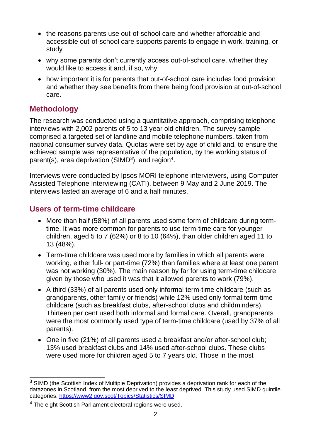- the reasons parents use out-of-school care and whether affordable and accessible out-of-school care supports parents to engage in work, training, or study
- why some parents don't currently access out-of-school care, whether they would like to access it and, if so, why
- how important it is for parents that out-of-school care includes food provision and whether they see benefits from there being food provision at out-of-school care.

## **Methodology**

The research was conducted using a quantitative approach, comprising telephone interviews with 2,002 parents of 5 to 13 year old children. The survey sample comprised a targeted set of landline and mobile telephone numbers, taken from national consumer survey data. Quotas were set by age of child and, to ensure the achieved sample was representative of the population, by the working status of parent(s), area deprivation (SIMD<sup>3</sup>), and region<sup>4</sup>.

Interviews were conducted by Ipsos MORI telephone interviewers, using Computer Assisted Telephone Interviewing (CATI), between 9 May and 2 June 2019. The interviews lasted an average of 6 and a half minutes.

### **Users of term-time childcare**

- More than half (58%) of all parents used some form of childcare during termtime. It was more common for parents to use term-time care for younger children, aged 5 to 7 (62%) or 8 to 10 (64%), than older children aged 11 to 13 (48%).
- Term-time childcare was used more by families in which all parents were working, either full- or part-time (72%) than families where at least one parent was not working (30%). The main reason by far for using term-time childcare given by those who used it was that it allowed parents to work (79%).
- A third (33%) of all parents used only informal term-time childcare (such as grandparents, other family or friends) while 12% used only formal term-time childcare (such as breakfast clubs, after-school clubs and childminders). Thirteen per cent used both informal and formal care. Overall, grandparents were the most commonly used type of term-time childcare (used by 37% of all parents).
- One in five (21%) of all parents used a breakfast and/or after-school club; 13% used breakfast clubs and 14% used after-school clubs. These clubs were used more for children aged 5 to 7 years old. Those in the most

 $\overline{a}$  $3$  SIMD (the Scottish Index of Multiple Deprivation) provides a deprivation rank for each of the datazones in Scotland, from the most deprived to the least deprived. This study used SIMD quintile categories. <https://www2.gov.scot/Topics/Statistics/SIMD>

<sup>4</sup> The eight Scottish Parliament electoral regions were used.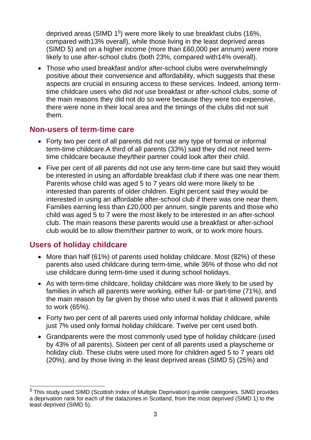deprived areas (SIMD 1<sup>5</sup>) were more likely to use breakfast clubs (16%, compared with13% overall), while those living in the least deprived areas (SIMD 5) and on a higher income (more than £60,000 per annum) were more likely to use after-school clubs (both 23%, compared with14% overall).

• Those who used breakfast and/or after-school clubs were overwhelmingly positive about their convenience and affordability, which suggests that these aspects are crucial in ensuring access to these services. Indeed, among termtime childcare users who did *not* use breakfast or after-school clubs, some of the main reasons they did not do so were because they were too expensive, there were none in their local area and the timings of the clubs did not suit them.

### **Non-users of term-time care**

- Forty two per cent of all parents did not use any type of formal or informal term-time childcare.A third of all parents (33%) said they did not need termtime childcare because they/their partner could look after their child.
- Five per cent of all parents did not use any term-time care but said they would be interested in using an affordable breakfast club if there was one near them. Parents whose child was aged 5 to 7 years old were more likely to be interested than parents of older children. Eight percent said they would be interested in using an affordable after-school club if there was one near them. Families earning less than £20,000 per annum, single parents and those who child was aged 5 to 7 were the most likely to be interested in an after-school club. The main reasons these parents would use a breakfast or after-school club would be to allow them/their partner to work, or to work more hours.

## **Users of holiday childcare**

- More than half (61%) of parents used holiday childcare. Most (82%) of these parents also used childcare during term-time, while 36% of those who did not use childcare during term-time used it during school holidays.
- As with term-time childcare, holiday childcare was more likely to be used by families in which all parents were working, either full- or part-time (71%), and the main reason by far given by those who used it was that it allowed parents to work (65%).
- Forty two per cent of all parents used only informal holiday childcare, while just 7% used only formal holiday childcare. Twelve per cent used both.
- Grandparents were the most commonly used type of holiday childcare (used by 43% of all parents). Sixteen per cent of all parents used a playscheme or holiday club. These clubs were used more for children aged 5 to 7 years old (20%), and by those living in the least deprived areas (SIMD 5) (25%) and

 $\overline{a}$ <sup>5</sup> This study used SIMD (Scottish Index of Multiple Deprivation) quintile categories. SIMD provides a deprivation rank for each of the datazones in Scotland, from the most deprived (SIMD 1) to the least deprived (SIMD 5).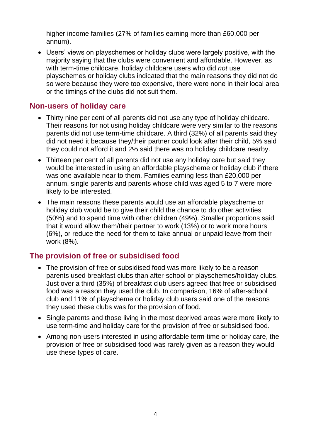higher income families (27% of families earning more than £60,000 per annum).

• Users' views on playschemes or holiday clubs were largely positive, with the majority saying that the clubs were convenient and affordable. However, as with term-time childcare, holiday childcare users who did *not* use playschemes or holiday clubs indicated that the main reasons they did not do so were because they were too expensive, there were none in their local area or the timings of the clubs did not suit them.

### **Non-users of holiday care**

- Thirty nine per cent of all parents did not use any type of holiday childcare. Their reasons for not using holiday childcare were very similar to the reasons parents did not use term-time childcare. A third (32%) of all parents said they did not need it because they/their partner could look after their child, 5% said they could not afford it and 2% said there was no holiday childcare nearby.
- Thirteen per cent of all parents did not use any holiday care but said they would be interested in using an affordable playscheme or holiday club if there was one available near to them. Families earning less than £20,000 per annum, single parents and parents whose child was aged 5 to 7 were more likely to be interested.
- The main reasons these parents would use an affordable playscheme or holiday club would be to give their child the chance to do other activities (50%) and to spend time with other children (49%). Smaller proportions said that it would allow them/their partner to work (13%) or to work more hours (6%), or reduce the need for them to take annual or unpaid leave from their work (8%).

### **The provision of free or subsidised food**

- The provision of free or subsidised food was more likely to be a reason parents used breakfast clubs than after-school or playschemes/holiday clubs. Just over a third (35%) of breakfast club users agreed that free or subsidised food was a reason they used the club. In comparison, 16% of after-school club and 11% of playscheme or holiday club users said one of the reasons they used these clubs was for the provision of food.
- Single parents and those living in the most deprived areas were more likely to use term-time and holiday care for the provision of free or subsidised food.
- Among non-users interested in using affordable term-time or holiday care, the provision of free or subsidised food was rarely given as a reason they would use these types of care.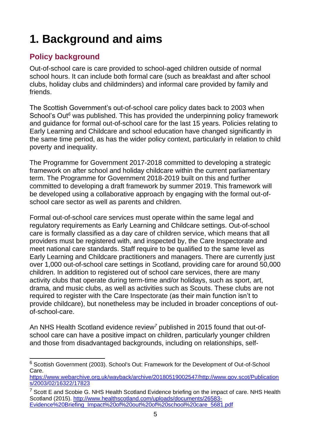# <span id="page-7-0"></span>**1. Background and aims**

## <span id="page-7-1"></span>**Policy background**

Out-of-school care is care provided to school-aged children outside of normal school hours. It can include both formal care (such as breakfast and after school clubs, holiday clubs and childminders) and informal care provided by family and friends.

The Scottish Government's out-of-school care policy dates back to 2003 when School's Out*<sup>6</sup>* was published. This has provided the underpinning policy framework and guidance for formal out-of-school care for the last 15 years. Policies relating to Early Learning and Childcare and school education have changed significantly in the same time period, as has the wider policy context, particularly in relation to child poverty and inequality.

The [Programme for Government 2017-2018](https://www.gov.scot/publications/programme-for-government-2017-2018-first-ministers-speech/) committed to developing a strategic framework on after school and holiday childcare within the current parliamentary term. The [Programme for Government 2018-2019](https://www.gov.scot/publications/delivering-today-investing-tomorrow-governments-programme-scotland-2018-19/) built on this and further committed to developing a draft framework by summer 2019. This framework will be developed using a collaborative approach by engaging with the formal out-ofschool care sector as well as parents and children.

Formal out-of-school care services must operate within the same legal and regulatory requirements as Early Learning and Childcare settings. Out-of-school care is formally classified as a day care of children service, which means that all providers must be registered with, and inspected by, the Care Inspectorate and meet national care standards. Staff require to be qualified to the same level as Early Learning and Childcare practitioners and managers. There are currently just over 1,000 out-of-school care settings in Scotland, providing care for around 50,000 children. In addition to registered out of school care services, there are many activity clubs that operate during term-time and/or holidays, such as sport, art, drama, and music clubs, as well as activities such as Scouts. These clubs are not required to register with the Care Inspectorate (as their main function isn't to provide childcare), but nonetheless may be included in broader conceptions of outof-school-care.

An [NHS Health Scotland evidence review](http://www.healthscotland.com/documents/26583.aspx)*<sup>7</sup>* published in 2015 found that out-ofschool care can have a positive impact on children, particularly younger children and those from disadvantaged backgrounds, including on relationships, self-

 $\overline{a}$ <sup>6</sup> Scottish Government (2003). School's Out: Framework for the Development of Out-of-School Care.

[https://www.webarchive.org.uk/wayback/archive/20180519002547/http://www.gov.scot/Publication](https://www.webarchive.org.uk/wayback/archive/20180519002547/http:/www.gov.scot/Publications/2003/02/16322/17823) [s/2003/02/16322/17823](https://www.webarchive.org.uk/wayback/archive/20180519002547/http:/www.gov.scot/Publications/2003/02/16322/17823)

 $7$  Scott E and Scobie G. NHS Health Scotland Evidence briefing on the impact of care. NHS Health Scotland (2015). [http://www.healthscotland.com/uploads/documents/26583-](http://www.healthscotland.com/uploads/documents/26583-Evidence%20Briefing_Impact%20of%20out%20of%20school%20care_5681.pdf) [Evidence%20Briefing\\_Impact%20of%20out%20of%20school%20care\\_5681.pdf](http://www.healthscotland.com/uploads/documents/26583-Evidence%20Briefing_Impact%20of%20out%20of%20school%20care_5681.pdf)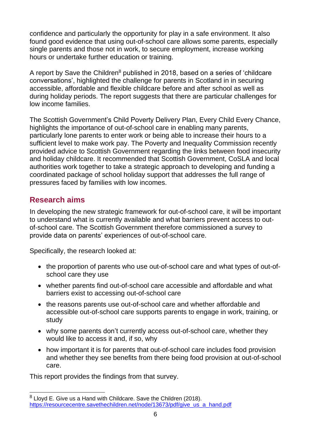confidence and particularly the opportunity for play in a safe environment. It also found good evidence that using out-of-school care allows some parents, especially single parents and those not in work, to secure employment, increase working hours or undertake further education or training.

A report by [Save the Children](https://resourcecentre.savethechildren.net/node/13673/pdf/give_us_a_hand.pdf)<sup>8</sup> published in 2018, based on a series of 'childcare' conversations', highlighted the challenge for parents in Scotland in in securing accessible, affordable and flexible childcare before and after school as well as during holiday periods. The report suggests that there are particular challenges for low income families.

The Scottish Government's Child Poverty Delivery Plan, [Every Child Every Chance,](https://www.gov.scot/publications/child-chance-tackling-child-poverty-delivery-plan-2018-22/) highlights the importance of out-of-school care in enabling many parents, particularly lone parents to enter work or being able to increase their hours to a sufficient level to make work pay. The Poverty and Inequality Commission recently provided advice to Scottish Government regarding the links between food insecurity and holiday childcare. It recommended that Scottish Government, CoSLA and local authorities work together to take a strategic approach to developing and funding a coordinated package of school holiday support that addresses the full range of pressures faced by families with low incomes.

## <span id="page-8-0"></span>**Research aims**

In developing the new strategic framework for out-of-school care, it will be important to understand what is currently available and what barriers prevent access to outof-school care. The Scottish Government therefore commissioned a survey to provide data on parents' experiences of out-of-school care.

Specifically, the research looked at:

- the proportion of parents who use out-of-school care and what types of out-ofschool care they use
- whether parents find out-of-school care accessible and affordable and what barriers exist to accessing out-of-school care
- the reasons parents use out-of-school care and whether affordable and accessible out-of-school care supports parents to engage in work, training, or study
- why some parents don't currently access out-of-school care, whether they would like to access it and, if so, why
- how important it is for parents that out-of-school care includes food provision and whether they see benefits from there being food provision at out-of-school care.

This report provides the findings from that survey.

 $\overline{a}$  $8$  Lloyd E. Give us a Hand with Childcare. Save the Children (2018). [https://resourcecentre.savethechildren.net/node/13673/pdf/give\\_us\\_a\\_hand.pdf](https://resourcecentre.savethechildren.net/node/13673/pdf/give_us_a_hand.pdf)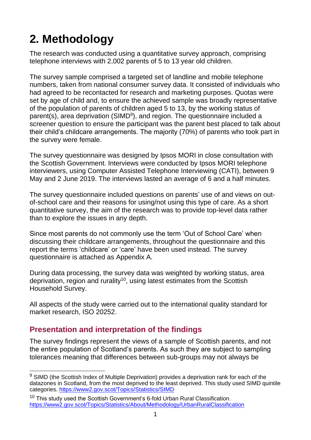## <span id="page-9-0"></span>**2. Methodology**

The research was conducted using a quantitative survey approach, comprising telephone interviews with 2,002 parents of 5 to 13 year old children.

The survey sample comprised a targeted set of landline and mobile telephone numbers, taken from national consumer survey data. It consisted of individuals who had agreed to be recontacted for research and marketing purposes. Quotas were set by age of child and, to ensure the achieved sample was broadly representative of the population of parents of children aged 5 to 13, by the working status of parent(s), area deprivation (SIMD<sup>9</sup>), and region. The questionnaire included a screener question to ensure the participant was the parent best placed to talk about their child's childcare arrangements. The majority (70%) of parents who took part in the survey were female.

The survey questionnaire was designed by Ipsos MORI in close consultation with the Scottish Government. Interviews were conducted by Ipsos MORI telephone interviewers, using Computer Assisted Telephone Interviewing (CATI), between 9 May and 2 June 2019. The interviews lasted an average of 6 and a half minutes.

The survey questionnaire included questions on parents' use of and views on outof-school care and their reasons for using/not using this type of care. As a short quantitative survey, the aim of the research was to provide top-level data rather than to explore the issues in any depth.

Since most parents do not commonly use the term 'Out of School Care' when discussing their childcare arrangements, throughout the questionnaire and this report the terms 'childcare' or 'care' have been used instead. The survey questionnaire is attached as Appendix A.

During data processing, the survey data was weighted by working status, area deprivation, region and rurality<sup>10</sup>, using latest estimates from the Scottish Household Survey.

All aspects of the study were carried out to the international quality standard for market research, ISO 20252.

## <span id="page-9-1"></span>**Presentation and interpretation of the findings**

The survey findings represent the views of a sample of Scottish parents, and not the entire population of Scotland's parents. As such they are subject to sampling tolerances meaning that differences between sub-groups may not always be

 $\overline{a}$  $9$  SIMD (the Scottish Index of Multiple Deprivation) provides a deprivation rank for each of the datazones in Scotland, from the most deprived to the least deprived. This study used SIMD quintile categories. <https://www2.gov.scot/Topics/Statistics/SIMD>

 $10$  This study used the Scottish Government's 6-fold Urban Rural Classification. <https://www2.gov.scot/Topics/Statistics/About/Methodology/UrbanRuralClassification>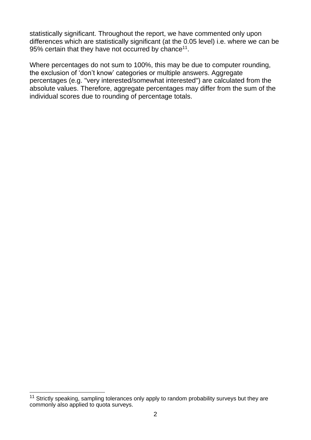statistically significant. Throughout the report, we have commented only upon differences which are statistically significant (at the 0.05 level) i.e. where we can be 95% certain that they have not occurred by chance<sup>11</sup>.

Where percentages do not sum to 100%, this may be due to computer rounding, the exclusion of 'don't know' categories or multiple answers. Aggregate percentages (e.g. "very interested/somewhat interested") are calculated from the absolute values. Therefore, aggregate percentages may differ from the sum of the individual scores due to rounding of percentage totals.

 $\overline{\phantom{a}}$  $11$  Strictly speaking, sampling tolerances only apply to random probability surveys but they are commonly also applied to quota surveys.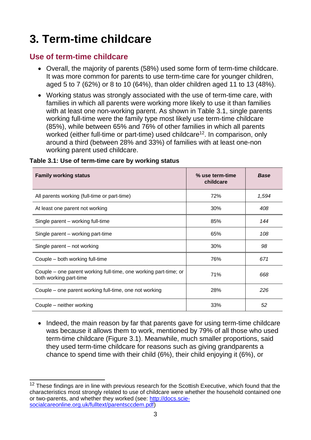## <span id="page-11-0"></span>**3. Term-time childcare**

### <span id="page-11-1"></span>**Use of term-time childcare**

- Overall, the majority of parents (58%) used some form of term-time childcare. It was more common for parents to use term-time care for younger children, aged 5 to 7 (62%) or 8 to 10 (64%), than older children aged 11 to 13 (48%).
- Working status was strongly associated with the use of term-time care, with families in which all parents were working more likely to use it than families with at least one non-working parent. As shown in Table 3.1, single parents working full-time were the family type most likely use term-time childcare (85%), while between 65% and 76% of other families in which all parents worked (either full-time or part-time) used childcare<sup>12</sup>. In comparison, only around a third (between 28% and 33%) of families with at least one-non working parent used childcare.

| <b>Family working status</b>                                                               | % use term-time<br>childcare | <b>Base</b> |
|--------------------------------------------------------------------------------------------|------------------------------|-------------|
| All parents working (full-time or part-time)                                               | 72%                          | 1,594       |
| At least one parent not working                                                            | 30%                          | 408         |
| Single parent – working full-time                                                          | 85%                          | 144         |
| Single parent – working part-time                                                          | 65%                          | 108         |
| Single parent – not working                                                                | 30%                          | 98          |
| Couple - both working full-time                                                            | 76%                          | 671         |
| Couple – one parent working full-time, one working part-time; or<br>both working part-time | 71%                          | 668         |
| Couple – one parent working full-time, one not working                                     | 28%                          | 226         |
| Couple – neither working                                                                   | 33%                          | 52          |

#### **Table 3.1: Use of term-time care by working status**

• Indeed, the main reason by far that parents gave for using term-time childcare was because it allows them to work, mentioned by 79% of all those who used term-time childcare (Figure 3.1). Meanwhile, much smaller proportions, said they used term-time childcare for reasons such as giving grandparents a chance to spend time with their child (6%), their child enjoying it (6%), or

 $\overline{\phantom{a}}$  $12$  These findings are in line with previous research for the Scottish Executive, which found that the characteristics most strongly related to use of childcare were whether the household contained one or two-parents, and whether they worked (see: [http://docs.scie](http://docs.scie-socialcareonline.org.uk/fulltext/parentsccdem.pdf)[socialcareonline.org.uk/fulltext/parentsccdem.pdf\)](http://docs.scie-socialcareonline.org.uk/fulltext/parentsccdem.pdf)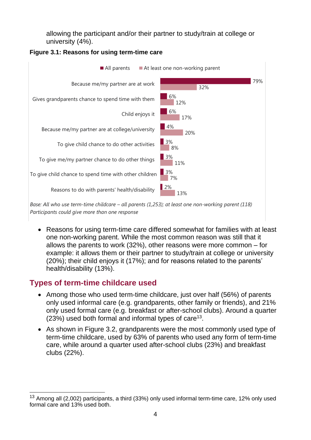allowing the participant and/or their partner to study/train at college or university (4%).



#### **Figure 3.1: Reasons for using term-time care**

*Base: All who use term-time childcare – all parents (1,253); at least one non-working parent (118) Participants could give more than one response*

• Reasons for using term-time care differed somewhat for families with at least one non-working parent. While the most common reason was still that it allows the parents to work (32%), other reasons were more common – for example: it allows them or their partner to study/train at college or university (20%); their child enjoys it (17%); and for reasons related to the parents' health/disability (13%).

### <span id="page-12-0"></span>**Types of term-time childcare used**

- Among those who used term-time childcare, just over half (56%) of parents only used informal care (e.g. grandparents, other family or friends), and 21% only used formal care (e.g. breakfast or after-school clubs). Around a quarter  $(23%)$  used both formal and informal types of care<sup>13</sup>.
- As shown in Figure 3.2, grandparents were the most commonly used type of term-time childcare, used by 63% of parents who used any form of term-time care, while around a quarter used after-school clubs (23%) and breakfast clubs (22%).

 $\overline{\phantom{a}}$  $13$  Among all (2,002) participants, a third (33%) only used informal term-time care, 12% only used formal care and 13% used both.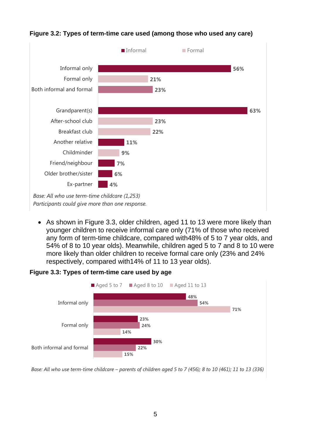

#### **Figure 3.2: Types of term-time care used (among those who used any care)**

*Base: All who use term-time childcare (1,253) Participants could give more than one response.*

• As shown in Figure 3.3, older children, aged 11 to 13 were more likely than younger children to receive informal care only (71% of those who received any form of term-time childcare, compared with48% of 5 to 7 year olds, and 54% of 8 to 10 year olds). Meanwhile, children aged 5 to 7 and 8 to 10 were more likely than older children to receive formal care only (23% and 24% respectively, compared with14% of 11 to 13 year olds).

#### **Figure 3.3: Types of term-time care used by age**



*Base: All who use term-time childcare – parents of children aged 5 to 7 (456); 8 to 10 (461); 11 to 13 (336)*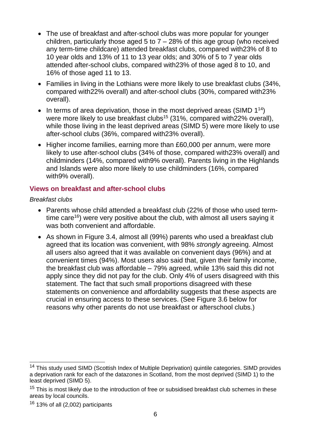- The use of breakfast and after-school clubs was more popular for younger children, particularly those aged 5 to  $7 - 28%$  of this age group (who received any term-time childcare) attended breakfast clubs, compared with23% of 8 to 10 year olds and 13% of 11 to 13 year olds; and 30% of 5 to 7 year olds attended after-school clubs, compared with23% of those aged 8 to 10, and 16% of those aged 11 to 13.
- Families in living in the Lothians were more likely to use breakfast clubs (34%, compared with22% overall) and after-school clubs (30%, compared with23% overall).
- In terms of area deprivation, those in the most deprived areas (SIMD  $1^{14}$ ) were more likely to use breakfast clubs<sup>15</sup> (31%, compared with 22% overall), while those living in the least deprived areas (SIMD 5) were more likely to use after-school clubs (36%, compared with23% overall).
- Higher income families, earning more than £60,000 per annum, were more likely to use after-school clubs (34% of those, compared with23% overall) and childminders (14%, compared with9% overall). Parents living in the Highlands and Islands were also more likely to use childminders (16%, compared with9% overall).

### <span id="page-14-0"></span>**Views on breakfast and after-school clubs**

*Breakfast clubs*

- Parents whose child attended a breakfast club (22% of those who used termtime care<sup>16</sup>) were very positive about the club, with almost all users saying it was both convenient and affordable.
- As shown in Figure 3.4, almost all (99%) parents who used a breakfast club agreed that its location was convenient, with 98% *strongly* agreeing. Almost all users also agreed that it was available on convenient days (96%) and at convenient times (94%). Most users also said that, given their family income, the breakfast club was affordable – 79% agreed, while 13% said this did not apply since they did not pay for the club. Only 4% of users disagreed with this statement. The fact that such small proportions disagreed with these statements on convenience and affordability suggests that these aspects are crucial in ensuring access to these services. (See Figure 3.6 below for reasons why other parents do not use breakfast or afterschool clubs.)

 $\overline{\phantom{a}}$ <sup>14</sup> This study used SIMD (Scottish Index of Multiple Deprivation) quintile categories. SIMD provides a deprivation rank for each of the datazones in Scotland, from the most deprived (SIMD 1) to the least deprived (SIMD 5).

<sup>&</sup>lt;sup>15</sup> This is most likely due to the introduction of free or subsidised breakfast club schemes in these areas by local councils.

 $16$  13% of all (2,002) participants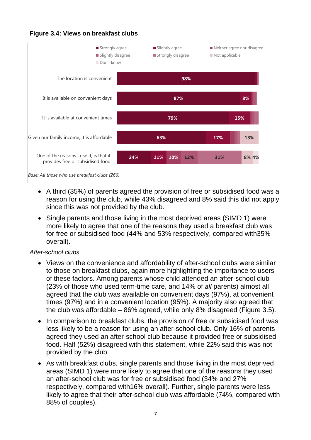

*Base: All those who use breakfast clubs (266)*

- A third (35%) of parents agreed the provision of free or subsidised food was a reason for using the club, while 43% disagreed and 8% said this did not apply since this was not provided by the club.
	- Single parents and those living in the most deprived areas (SIMD 1) were more likely to agree that one of the reasons they used a breakfast club was for free or subsidised food (44% and 53% respectively, compared with35% overall).

#### *After-school clubs*

- Views on the convenience and affordability of after-school clubs were similar to those on breakfast clubs, again more highlighting the importance to users of these factors. Among parents whose child attended an after-school club (23% of those who used term-time care, and 14% of *all* parents) almost all agreed that the club was available on convenient days (97%), at convenient times (97%) and in a convenient location (95%). A majority also agreed that the club was affordable – 86% agreed, while only 8% disagreed (Figure 3.5).
- In comparison to breakfast clubs, the provision of free or subsidised food was less likely to be a reason for using an after-school club. Only 16% of parents agreed they used an after-school club because it provided free or subsidised food. Half (52%) disagreed with this statement, while 22% said this was not provided by the club.
- As with breakfast clubs, single parents and those living in the most deprived areas (SIMD 1) were more likely to agree that one of the reasons they used an after-school club was for free or subsidised food (34% and 27% respectively, compared with16% overall). Further, single parents were less likely to agree that their after-school club was affordable (74%, compared with 88% of couples).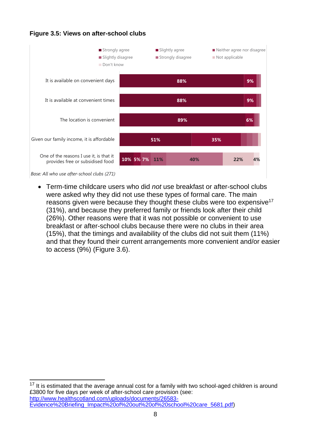## Figure 3.5: Views on after-school clubs<br>**Standard Life Favourability – Trends**



*Base: All who use after-school clubs (271)*

 $\overline{\phantom{a}}$ 

• Term-time childcare users who did *not* use breakfast or after-school clubs were asked why they did not use these types of formal care. The main reasons given were because they thought these clubs were too expensive<sup>17</sup> (31%), and because they preferred family or friends look after their child (26%). Other reasons were that it was not possible or convenient to use breakfast or after-school clubs because there were no clubs in their area (15%), that the timings and availability of the clubs did not suit them (11%) and that they found their current arrangements more convenient and/or easier to access (9%) (Figure 3.6).

 $17$  It is estimated that the average annual cost for a family with two school-aged children is around £3800 for five days per week of after-school care provision (see: [http://www.healthscotland.com/uploads/documents/26583-](http://www.healthscotland.com/uploads/documents/26583-Evidence%20Briefing_Impact%20of%20out%20of%20school%20care_5681.pdf) [Evidence%20Briefing\\_Impact%20of%20out%20of%20school%20care\\_5681.pdf\)](http://www.healthscotland.com/uploads/documents/26583-Evidence%20Briefing_Impact%20of%20out%20of%20school%20care_5681.pdf)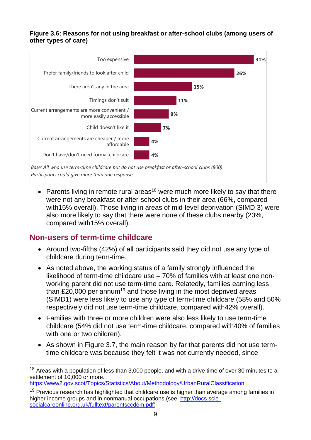### Figure 3.6: Reasons for not using breakfast or after-school clubs (among users of **other types of care)**



*Base: All who use term-time childcare but do not use breakfast or after-school clubs (800) Participants could give more than one response.*

• Parents living in remote rural areas<sup>18</sup> were much more likely to say that there were not any breakfast or after-school clubs in their area (66%, compared with15% overall). Those living in areas of mid-level deprivation (SIMD 3) were also more likely to say that there were none of these clubs nearby (23%, compared with15% overall).

### <span id="page-17-0"></span>**Non-users of term-time childcare**

- Around two-fifths (42%) of all participants said they did not use any type of childcare during term-time.
- As noted above, the working status of a family strongly influenced the likelihood of term-time childcare use – 70% of families with at least one nonworking parent did not use term-time care. Relatedly, families earning less than £20,000 per annum<sup>19</sup> and those living in the most deprived areas (SIMD1) were less likely to use any type of term-time childcare (58% and 50% respectively did not use term-time childcare, compared with42% overall).
- Families with three or more children were also less likely to use term-time childcare (54% did not use term-time childcare, compared with40% of families with one or two children).
- As shown in Figure 3.7, the main reason by far that parents did not use termtime childcare was because they felt it was not currently needed, since

<https://www2.gov.scot/Topics/Statistics/About/Methodology/UrbanRuralClassification>

 $\overline{a}$  $18$  Areas with a population of less than 3,000 people, and with a drive time of over 30 minutes to a settlement of 10,000 or more.

 $19$  Previous research has highlighted that childcare use is higher than average among families in higher income groups and in nonmanual occupations (see: [http://docs.scie](http://docs.scie-socialcareonline.org.uk/fulltext/parentsccdem.pdf)[socialcareonline.org.uk/fulltext/parentsccdem.pdf\)](http://docs.scie-socialcareonline.org.uk/fulltext/parentsccdem.pdf)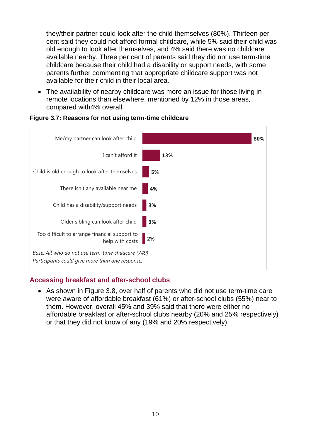they/their partner could look after the child themselves (80%). Thirteen per cent said they could not afford formal childcare, while 5% said their child was old enough to look after themselves, and 4% said there was no childcare available nearby. Three per cent of parents said they did not use term-time childcare because their child had a disability or support needs, with some parents further commenting that appropriate childcare support was not available for their child in their local area.

• The availability of nearby childcare was more an issue for those living in remote locations than elsewhere, mentioned by 12% in those areas, compared with4% overall.



#### **Figure 3.7: Reasons for not using term-time childcare**

*Participants could give more than one response.*

### <span id="page-18-0"></span>**Accessing breakfast and after-school clubs**

• As shown in Figure 3.8, over half of parents who did not use term-time care were aware of affordable breakfast (61%) or after-school clubs (55%) near to them. However, overall 45% and 39% said that there were either no affordable breakfast or after-school clubs nearby (20% and 25% respectively) or that they did not know of any (19% and 20% respectively).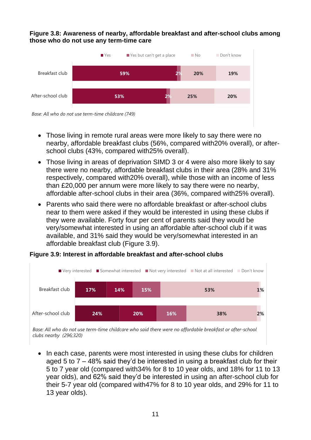## **Figure 3.8: Awareness of nearby, affordable breakfast and after-school clubs among**  those who do not use any term-time care



*Base: All who do not use term-time childcare (749)*

- Those living in remote rural areas were more likely to say there were no nearby, affordable breakfast clubs (56%, compared with20% overall), or afterschool clubs (43%, compared with25% overall).
- Those living in areas of deprivation SIMD 3 or 4 were also more likely to say there were no nearby, affordable breakfast clubs in their area (28% and 31% respectively, compared with20% overall), while those with an income of less than £20,000 per annum were more likely to say there were no nearby, affordable after-school clubs in their area (36%, compared with25% overall).
- Parents who said there were no affordable breakfast or after-school clubs near to them were asked if they would be interested in using these clubs if they were available. Forty four per cent of parents said they would be very/somewhat interested in using an affordable after-school club if it was available, and 31% said they would be very/somewhat interested in an affordable breakfast club (Figure 3.9).

## Figure 3.9: Interest in affordable breakfast and after-school clubs<br>



*Base: All who do not use term-time childcare who said there were no affordable breakfast or after-school clubs nearby (296;320)*

• In each case, parents were most interested in using these clubs for children aged 5 to 7 – 48% said they'd be interested in using a breakfast club for their 5 to 7 year old (compared with34% for 8 to 10 year olds, and 18% for 11 to 13 year olds), and 62% said they'd be interested in using an after-school club for their 5-7 year old (compared with47% for 8 to 10 year olds, and 29% for 11 to 13 year olds).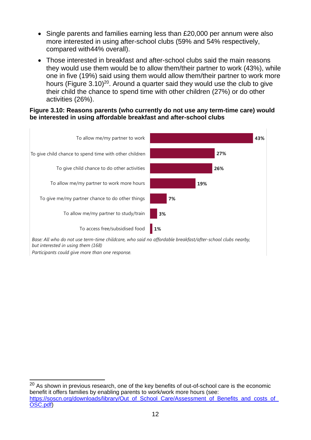- Single parents and families earning less than £20,000 per annum were also more interested in using after-school clubs (59% and 54% respectively, compared with44% overall).
- Those interested in breakfast and after-school clubs said the main reasons they would use them would be to allow them/their partner to work (43%), while one in five (19%) said using them would allow them/their partner to work more hours (Figure  $3.10)$ <sup>20</sup>. Around a quarter said they would use the club to give their child the chance to spend time with other children (27%) or do other activities (26%).

#### Figure 3.10: Reasons parents (who currently do not use any term-time care) would **be interested in using affordable breakfast and after-school clubs**



*Base: All who do not use term-time childcare, who said no affordable breakfast/after-school clubs nearby, but interested in using them (168)*

*Participants could give more than one response.*

 $\overline{a}$  $20$  As shown in previous research, one of the key benefits of out-of-school care is the economic benefit it offers families by enabling parents to work/work more hours (see: https://soscn.org/downloads/library/Out\_of\_School\_Care/Assessment\_of\_Benefits\_and\_costs\_of [OSC.pdf\)](https://soscn.org/downloads/library/Out_of_School_Care/Assessment_of_Benefits_and_costs_of_OSC.pdf)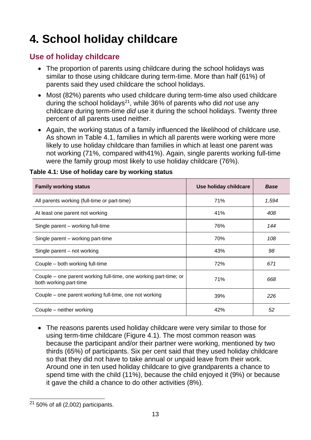## <span id="page-21-0"></span>**4. School holiday childcare**

## <span id="page-21-1"></span>**Use of holiday childcare**

- The proportion of parents using childcare during the school holidays was similar to those using childcare during term-time. More than half (61%) of parents said they used childcare the school holidays.
- Most (82%) parents who used childcare during term-time also used childcare during the school holidays<sup>21</sup>, while 36% of parents who did *not* use any childcare during term-time *did* use it during the school holidays. Twenty three percent of all parents used neither.
- Again, the working status of a family influenced the likelihood of childcare use. As shown in Table 4.1, families in which all parents were working were more likely to use holiday childcare than families in which at least one parent was not working (71%, compared with41%). Again, single parents working full-time were the family group most likely to use holiday childcare (76%).

| <b>Family working status</b>                                                               | Use holiday childcare | <b>Base</b> |
|--------------------------------------------------------------------------------------------|-----------------------|-------------|
| All parents working (full-time or part-time)                                               | 71%                   | 1,594       |
| At least one parent not working                                                            | 41%                   | 408         |
| Single parent – working full-time                                                          | 76%                   | 144         |
| Single parent – working part-time                                                          | 70%                   | 108         |
| Single parent - not working                                                                | 43%                   | 98          |
| Couple – both working full-time                                                            | 72%                   | 671         |
| Couple – one parent working full-time, one working part-time; or<br>both working part-time | 71%                   | 668         |
| Couple – one parent working full-time, one not working                                     | 39%                   | 226         |
| Couple - neither working                                                                   | 42%                   | 52          |

### **Table 4.1: Use of holiday care by working status**

• The reasons parents used holiday childcare were very similar to those for using term-time childcare (Figure 4.1). The most common reason was because the participant and/or their partner were working, mentioned by two thirds (65%) of participants. Six per cent said that they used holiday childcare so that they did not have to take annual or unpaid leave from their work. Around one in ten used holiday childcare to give grandparents a chance to spend time with the child (11%), because the child enjoyed it (9%) or because it gave the child a chance to do other activities (8%).

 $\overline{a}$  $21$  50% of all (2,002) participants.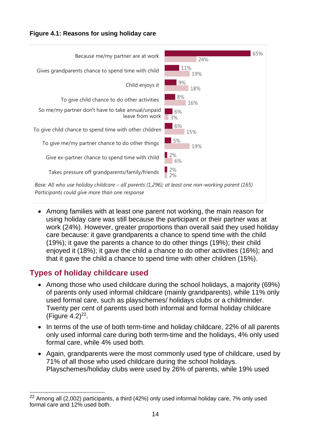## Figure 4.1: Reasons for using holiday care



• Among families with at least one parent not working, the main reason for using holiday care was still because the participant or their partner was at work (24%). However, greater proportions than overall said they used holiday care because: it gave grandparents a chance to spend time with the child (19%); it gave the parents a chance to do other things (19%); their child enjoyed it (18%); it gave the child a chance to do other activities (16%); and that it gave the child a chance to spend time with other children (15%).

## <span id="page-22-0"></span>**Types of holiday childcare used**

- Among those who used childcare during the school holidays, a majority (69%) of parents only used informal childcare (mainly grandparents), while 11% only used formal care, such as playschemes/ holidays clubs or a childminder. Twenty per cent of parents used both informal and formal holiday childcare (Figure  $4.2)^{22}$ .
- In terms of the use of both term-time and holiday childcare, 22% of all parents only used informal care during both term-time and the holidays, 4% only used formal care, while 4% used both.
- Again, grandparents were the most commonly used type of childcare, used by 71% of all those who used childcare during the school holidays. Playschemes/holiday clubs were used by 26% of parents, while 19% used

 $\overline{a}$  $22$  Among all (2,002) participants, a third (42%) only used informal holiday care, 7% only used formal care and 12% used both.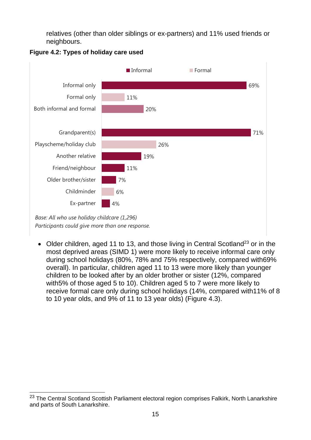relatives (other than older siblings or ex-partners) and 11% used friends or neighbours.



### **Figure 4.2: Types of holiday care used**

*Base: All who use holiday childcare (1,296) Participants could give more than one response.*

• Older children, aged 11 to 13, and those living in Central Scotland<sup>23</sup> or in the most deprived areas (SIMD 1) were more likely to receive informal care only during school holidays (80%, 78% and 75% respectively, compared with69% overall). In particular, children aged 11 to 13 were more likely than younger children to be looked after by an older brother or sister (12%, compared with5% of those aged 5 to 10). Children aged 5 to 7 were more likely to receive formal care only during school holidays (14%, compared with11% of 8 to 10 year olds, and 9% of 11 to 13 year olds) (Figure 4.3).

 $\overline{a}$ <sup>23</sup> The Central Scotland Scottish Parliament electoral region comprises Falkirk, North Lanarkshire and parts of South Lanarkshire.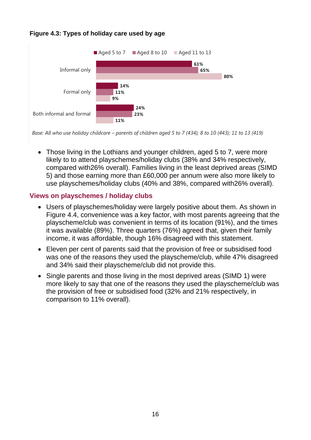#### **Figure 4.3: Types of holiday care used by age**



*Base: All who use holiday childcare – parents of children aged 5 to 7 (434); 8 to 10 (443); 11 to 13 (419)*

• Those living in the Lothians and younger children, aged 5 to 7, were more likely to to attend playschemes/holiday clubs (38% and 34% respectively, compared with26% overall). Families living in the least deprived areas (SIMD 5) and those earning more than £60,000 per annum were also more likely to use playschemes/holiday clubs (40% and 38%, compared with26% overall).

### <span id="page-24-0"></span>**Views on playschemes / holiday clubs**

- Users of playschemes/holiday were largely positive about them. As shown in Figure 4.4, convenience was a key factor, with most parents agreeing that the playscheme/club was convenient in terms of its location (91%), and the times it was available (89%). Three quarters (76%) agreed that, given their family income, it was affordable, though 16% disagreed with this statement.
	- Eleven per cent of parents said that the provision of free or subsidised food was one of the reasons they used the playscheme/club, while 47% disagreed and 34% said their playscheme/club did not provide this.
	- Single parents and those living in the most deprived areas (SIMD 1) were more likely to say that one of the reasons they used the playscheme/club was the provision of free or subsidised food (32% and 21% respectively, in comparison to 11% overall).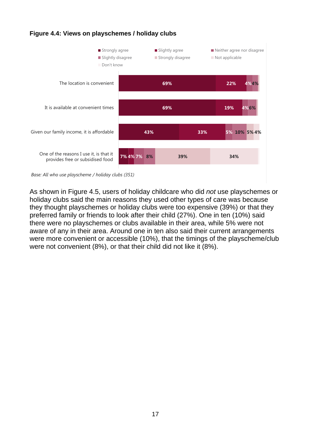



*Base: All who use playscheme / holiday clubs (351)*

As shown in Figure 4.5, users of holiday childcare who did *not* use playschemes or holiday clubs said the main reasons they used other types of care was because they thought playschemes or holiday clubs were too expensive (39%) or that they preferred family or friends to look after their child (27%). One in ten (10%) said there were no playschemes or clubs available in their area, while 5% were not aware of any in their area. Around one in ten also said their current arrangements were more convenient or accessible (10%), that the timings of the playscheme/club were not convenient (8%), or that their child did not like it (8%).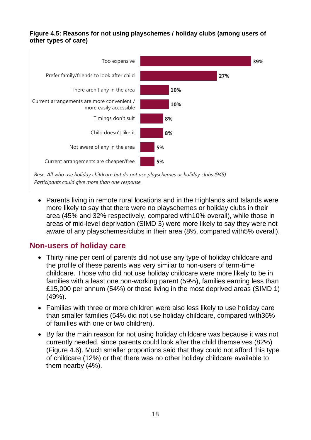#### Figure 4.5: Reasons for not using playschemes / holiday clubs (among users of **other types of care)**



*Base: All who use holiday childcare but do not use playschemes or holiday clubs (945) Participants could give more than one response.*

• Parents living in remote rural locations and in the Highlands and Islands were more likely to say that there were no playschemes or holiday clubs in their area (45% and 32% respectively, compared with10% overall), while those in areas of mid-level deprivation (SIMD 3) were more likely to say they were not aware of any playschemes/clubs in their area (8%, compared with5% overall).

### <span id="page-26-0"></span>**Non-users of holiday care**

- Thirty nine per cent of parents did not use any type of holiday childcare and the profile of these parents was very similar to non-users of term-time childcare. Those who did not use holiday childcare were more likely to be in families with a least one non-working parent (59%), families earning less than £15,000 per annum (54%) or those living in the most deprived areas (SIMD 1) (49%).
- Families with three or more children were also less likely to use holiday care than smaller families (54% did not use holiday childcare, compared with36% of families with one or two children).
- By far the main reason for not using holiday childcare was because it was not currently needed, since parents could look after the child themselves (82%) (Figure 4.6). Much smaller proportions said that they could not afford this type of childcare (12%) or that there was no other holiday childcare available to them nearby (4%).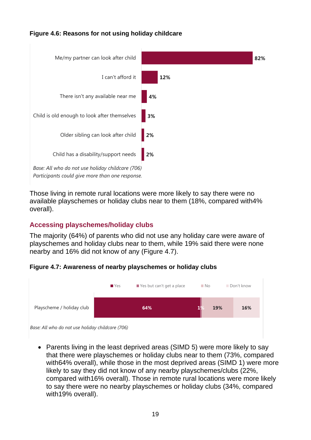#### **Figure 4.6: Reasons for not using holiday childcare**



Those living in remote rural locations were more likely to say there were no available playschemes or holiday clubs near to them (18%, compared with4% overall). Document Name Here | Month 2016 | Version 1 | Public | Internal Use Only | Confidential | Strictly Confidential (DELETE CLASSIFICATION) 18

### <span id="page-27-0"></span>**Accessing playschemes/holiday clubs**

The majority (64%) of parents who did not use any holiday care were aware of playschemes and holiday clubs near to them, while 19% said there were none nearby and 16% did not know of any (Figure 4.7).

#### **Figure 4.7: Awareness of nearby playschemes or holiday clubs**



*Base: All who do not use holiday childcare (706)*

• Parents living in the least deprived areas (SIMD 5) were more likely to say that there were playschemes or holiday clubs near to them (73%, compared with64% overall), while those in the most deprived areas (SIMD 1) were more likely to say they did not know of any nearby playschemes/clubs (22%, compared with16% overall). Those in remote rural locations were more likely to say there were no nearby playschemes or holiday clubs (34%, compared with19% overall).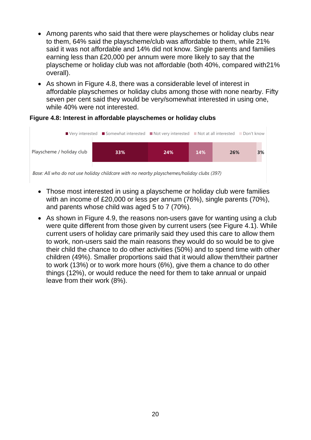- Among parents who said that there were playschemes or holiday clubs near to them, 64% said the playscheme/club was affordable to them, while 21% said it was not affordable and 14% did not know. Single parents and families earning less than £20,000 per annum were more likely to say that the playscheme or holiday club was not affordable (both 40%, compared with21% overall).
- As shown in Figure 4.8, there was a considerable level of interest in affordable playschemes or holiday clubs among those with none nearby. Fifty seven per cent said they would be very/somewhat interested in using one, while 40% were not interested.

#### **Figure 4.8: Interest in affordable playschemes or holiday clubs**



*Base: All who do not use holiday childcare with no nearby playschemes/holiday clubs (397)*

- Those most interested in using a playscheme or holiday club were families with an income of £20,000 or less per annum (76%), single parents (70%), and parents whose child was aged 5 to 7 (70%).
- As shown in Figure 4.9, the reasons non-users gave for wanting using a club were quite different from those given by current users (see Figure 4.1). While current users of holiday care primarily said they used this care to allow them to work, non-users said the main reasons they would do so would be to give their child the chance to do other activities (50%) and to spend time with other children (49%). Smaller proportions said that it would allow them/their partner to work (13%) or to work more hours (6%), give them a chance to do other things (12%), or would reduce the need for them to take annual or unpaid leave from their work (8%).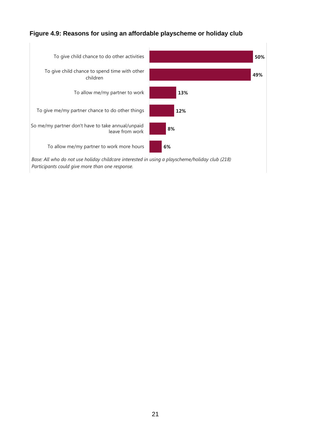## Figure 4.9: Reasons for using an affordable playscheme or holiday club



*Base: All who do not use holiday childcare interested in using a playscheme/holiday club (218) Participants could give more than one response.*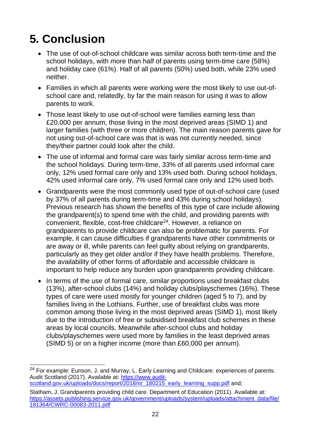## <span id="page-30-0"></span>**5. Conclusion**

- The use of out-of-school childcare was similar across both term-time and the school holidays, with more than half of parents using term-time care (58%) and holiday care (61%). Half of all parents (50%) used both, while 23% used neither.
- Families in which all parents were working were the most likely to use out-ofschool care and, relatedly, by far the main reason for using it was to allow parents to work.
- Those least likely to use out-of-school were families earning less than £20,000 per annum, those living in the most deprived areas (SIMD 1) and larger families (with three or more children). The main reason parents gave for not using out-of-school care was that is was not currently needed, since they/their partner could look after the child.
- The use of informal and formal care was fairly similar across term-time and the school holidays. During term-time, 33% of all parents used informal care only, 12% used formal care only and 13% used both. During school holidays, 42% used informal care only, 7% used formal care only and 12% used both.
- Grandparents were the most commonly used type of out-of-school care (used by 37% of all parents during term-time and 43% during school holidays). Previous research has shown the benefits of this type of care include allowing the grandparent(s) to spend time with the child, and providing parents with convenient, flexible, cost-free childcare<sup>24</sup>. However, a reliance on grandparents to provide childcare can also be problematic for parents. For example, it can cause difficulties if grandparents have other commitments or are away or ill, while parents can feel guilty about relying on grandparents, particularly as they get older and/or if they have health problems. Therefore, the availability of other forms of affordable and accessible childcare is important to help reduce any burden upon grandparents providing childcare.
- In terms of the use of formal care, similar proportions used breakfast clubs (13%), after-school clubs (14%) and holiday clubs/playschemes (16%). These types of care were used mostly for younger children (aged 5 to 7), and by families living in the Lothians. Further, use of breakfast clubs was more common among those living in the most deprived areas (SIMD 1), most likely due to the introduction of free or subsidised breakfast club schemes in these areas by local councils. Meanwhile after-school clubs and holiday clubs/playschemes were used more by families in the least deprived areas (SIMD 5) or on a higher income (more than £60,000 per annum).

 $\overline{a}$ <sup>24</sup> For example: Eunson, J. and Murray, L. Early Learning and Childcare: experiences of parents. Audit Scotland (2017). Available at: [https://www.audit](https://www.audit-scotland.gov.uk/uploads/docs/report/2018/nr_180215_early_learning_supp.pdf)[scotland.gov.uk/uploads/docs/report/2018/nr\\_180215\\_early\\_learning\\_supp.pdf](https://www.audit-scotland.gov.uk/uploads/docs/report/2018/nr_180215_early_learning_supp.pdf) and:

Statham, J. Grandparents providing child care. Department of Education (2011). Available at: [https://assets.publishing.service.gov.uk/government/uploads/system/uploads/attachment\\_data/file/](https://assets.publishing.service.gov.uk/government/uploads/system/uploads/attachment_data/file/181364/CWRC-00083-2011.pdf) [181364/CWRC-00083-2011.pdf](https://assets.publishing.service.gov.uk/government/uploads/system/uploads/attachment_data/file/181364/CWRC-00083-2011.pdf)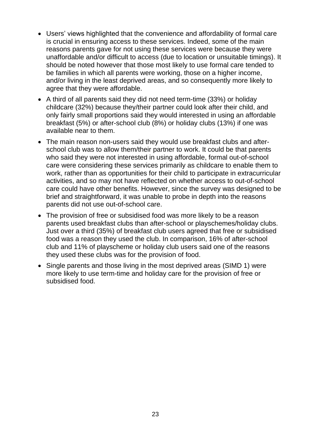- Users' views highlighted that the convenience and affordability of formal care is crucial in ensuring access to these services. Indeed, some of the main reasons parents gave for not using these services were because they were unaffordable and/or difficult to access (due to location or unsuitable timings). It should be noted however that those most likely to use formal care tended to be families in which all parents were working, those on a higher income, and/or living in the least deprived areas, and so consequently more likely to agree that they were affordable.
- A third of all parents said they did not need term-time (33%) or holiday childcare (32%) because they/their partner could look after their child, and only fairly small proportions said they would interested in using an affordable breakfast (5%) or after-school club (8%) or holiday clubs (13%) if one was available near to them.
- The main reason non-users said they would use breakfast clubs and afterschool club was to allow them/their partner to work. It could be that parents who said they were not interested in using affordable, formal out-of-school care were considering these services primarily as childcare to enable them to work, rather than as opportunities for their child to participate in extracurricular activities, and so may not have reflected on whether access to out-of-school care could have other benefits. However, since the survey was designed to be brief and straightforward, it was unable to probe in depth into the reasons parents did not use out-of-school care.
- The provision of free or subsidised food was more likely to be a reason parents used breakfast clubs than after-school or playschemes/holiday clubs. Just over a third (35%) of breakfast club users agreed that free or subsidised food was a reason they used the club. In comparison, 16% of after-school club and 11% of playscheme or holiday club users said one of the reasons they used these clubs was for the provision of food.
- Single parents and those living in the most deprived areas (SIMD 1) were more likely to use term-time and holiday care for the provision of free or subsidised food.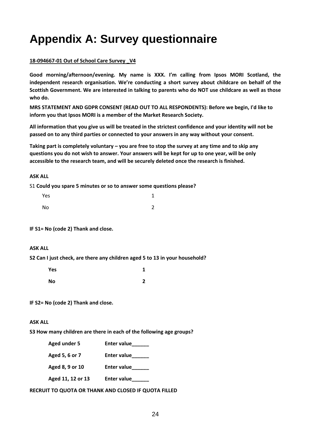## <span id="page-32-0"></span>**Appendix A: Survey questionnaire**

#### **18-094667-01 Out of School Care Survey \_V4**

**Good morning/afternoon/evening. My name is XXX. I'm calling from Ipsos MORI Scotland, the independent research organisation. We're conducting a short survey about childcare on behalf of the Scottish Government. We are interested in talking to parents who do NOT use childcare as well as those who do.**

**MRS STATEMENT AND GDPR CONSENT (READ OUT TO ALL RESPONDENTS): Before we begin, I'd like to inform you that Ipsos MORI is a member of the Market Research Society.**

**All information that you give us will be treated in the strictest confidence and your identity will not be passed on to any third parties or connected to your answers in any way without your consent.**

**Taking part is completely voluntary – you are free to stop the survey at any time and to skip any questions you do not wish to answer. Your answers will be kept for up to one year, will be only accessible to the research team, and will be securely deleted once the research is finished.** 

#### **ASK ALL**

S1 **Could you spare 5 minutes or so to answer some questions please?** 

| Yes | 1             |
|-----|---------------|
| No  | $\mathcal{L}$ |

**IF S1= No (code 2) Thank and close.** 

#### **ASK ALL**

**S2 Can I just check, are there any children aged 5 to 13 in your household?**

| Yes | 1      |
|-----|--------|
| No  | ∍<br>۷ |

**IF S2= No (code 2) Thank and close.** 

#### **ASK ALL**

**S3 How many children are there in each of the following age groups?**

|  | Aged under 5 | <b>Enter value</b> |
|--|--------------|--------------------|
|--|--------------|--------------------|

- **Aged 5, 6 or 7 Enter value\_\_\_\_\_\_**
- Aged 8, 9 or 10 Enter value
- **Aged 11, 12 or 13 Enter value\_\_\_\_\_\_**

**RECRUIT TO QUOTA OR THANK AND CLOSED IF QUOTA FILLED**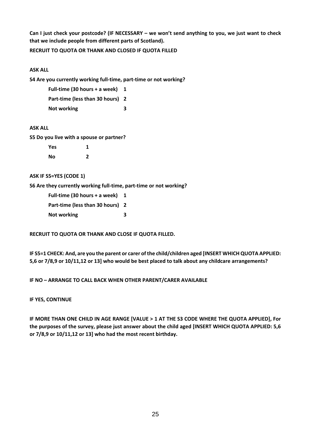**Can I just check your postcode? (IF NECESSARY – we won't send anything to you, we just want to check that we include people from different parts of Scotland).**

#### **RECRUIT TO QUOTA OR THANK AND CLOSED IF QUOTA FILLED**

#### **ASK ALL**

**S4 Are you currently working full-time, part-time or not working?**

| Full-time (30 hours + a week)    |   |
|----------------------------------|---|
| Part-time (less than 30 hours) 2 |   |
| Not working                      | 3 |

#### **ASK ALL**

**S5 Do you live with a spouse or partner?**

| Yes | 1 |
|-----|---|
| No  | 2 |

#### **ASK IF S5=YES (CODE 1)**

**S6 Are they currently working full-time, part-time or not working?**

**Full-time (30 hours + a week) 1 Part-time (less than 30 hours) 2 Not working 3**

#### **RECRUIT TO QUOTA OR THANK AND CLOSE IF QUOTA FILLED.**

**IF S5=1 CHECK: And, are you the parent or carer of the child/children aged [INSERT WHICH QUOTA APPLIED: 5,6 or 7/8,9 or 10/11,12 or 13] who would be best placed to talk about any childcare arrangements?**

#### **IF NO – ARRANGE TO CALL BACK WHEN OTHER PARENT/CARER AVAILABLE**

#### **IF YES, CONTINUE**

**IF MORE THAN ONE CHILD IN AGE RANGE [VALUE > 1 AT THE S3 CODE WHERE THE QUOTA APPLIED], For the purposes of the survey, please just answer about the child aged [INSERT WHICH QUOTA APPLIED: 5,6 or 7/8,9 or 10/11,12 or 13] who had the most recent birthday.**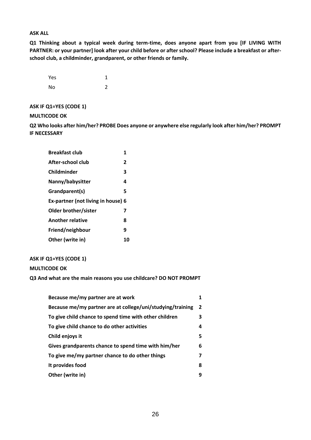#### **ASK ALL**

**Q1 Thinking about a typical week during term-time, does anyone apart from you [IF LIVING WITH PARTNER: or your partner] look after your child before or after school? Please include a breakfast or afterschool club, a childminder, grandparent, or other friends or family.**

| Yes | 1 |
|-----|---|
| No  | 2 |

#### **ASK IF Q1=YES (CODE 1)**

#### **MULTICODE OK**

**Q2 Who looks after him/her? PROBE Does anyone or anywhere else regularly look after him/her? PROMPT IF NECESSARY**

| <b>Breakfast club</b>              | 1              |
|------------------------------------|----------------|
| After-school club                  | $\overline{2}$ |
| Childminder                        | 3              |
| Nanny/babysitter                   | 4              |
| Grandparent(s)                     | 5              |
| Ex-partner (not living in house) 6 |                |
| Older brother/sister               | 7              |
| <b>Another relative</b>            | 8              |
| Friend/neighbour                   | 9              |
| Other (write in)                   | 10             |

#### **ASK IF Q1=YES (CODE 1)**

#### **MULTICODE OK**

**Q3 And what are the main reasons you use childcare? DO NOT PROMPT** 

| Because me/my partner are at work                          |                |
|------------------------------------------------------------|----------------|
| Because me/my partner are at college/uni/studying/training | $\overline{2}$ |
| To give child chance to spend time with other children     | 3              |
| To give child chance to do other activities                | 4              |
| Child enjoys it                                            | 5              |
| Gives grandparents chance to spend time with him/her       | 6              |
| To give me/my partner chance to do other things            | 7              |
| It provides food                                           | 8              |
| Other (write in)                                           | q              |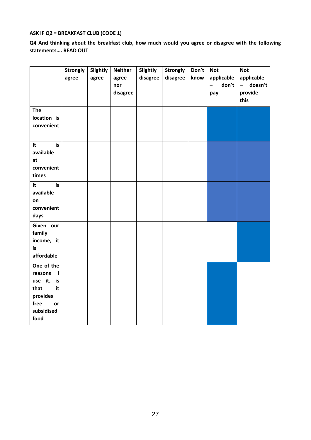#### **ASK IF Q2 = BREAKFAST CLUB (CODE 1)**

**Q4 And thinking about the breakfast club, how much would you agree or disagree with the following statements…. READ OUT**

|                                                                                                                     | <b>Strongly</b><br>agree | Slightly<br>agree | <b>Neither</b><br>agree<br>nor<br>disagree | Slightly<br>disagree | <b>Strongly</b><br>disagree | Don't<br>know | <b>Not</b><br>applicable<br>don't<br>$\overline{\phantom{0}}$<br>pay | <b>Not</b><br>applicable<br>- doesn't<br>provide |
|---------------------------------------------------------------------------------------------------------------------|--------------------------|-------------------|--------------------------------------------|----------------------|-----------------------------|---------------|----------------------------------------------------------------------|--------------------------------------------------|
|                                                                                                                     |                          |                   |                                            |                      |                             |               |                                                                      | this                                             |
| <b>The</b><br>location is<br>convenient                                                                             |                          |                   |                                            |                      |                             |               |                                                                      |                                                  |
| is<br>It<br>available<br>at<br>convenient<br>times                                                                  |                          |                   |                                            |                      |                             |               |                                                                      |                                                  |
| is<br>It<br>available<br>on<br>convenient<br>days                                                                   |                          |                   |                                            |                      |                             |               |                                                                      |                                                  |
| Given our<br>family<br>income, it<br>is<br>affordable                                                               |                          |                   |                                            |                      |                             |               |                                                                      |                                                  |
| One of the<br>reasons<br>$\blacksquare$<br>use it, is<br>that<br>it<br>provides<br>free<br>or<br>subsidised<br>food |                          |                   |                                            |                      |                             |               |                                                                      |                                                  |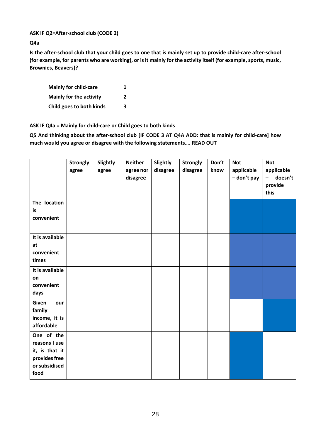#### **ASK IF Q2=After-school club (CODE 2)**

**Q4a**

**Is the after-school club that your child goes to one that is mainly set up to provide child-care after-school (for example, for parents who are working), or is it mainly for the activity itself (for example, sports, music, Brownies, Beavers)?**

| <b>Mainly for child-care</b> | 1 |
|------------------------------|---|
| Mainly for the activity      | 2 |
| Child goes to both kinds     | 3 |

**ASK IF Q4a = Mainly for child-care or Child goes to both kinds** 

**Q5 And thinking about the after-school club [IF CODE 3 AT Q4A ADD: that is mainly for child-care] how much would you agree or disagree with the following statements…. READ OUT**

|                                                                                         | <b>Strongly</b><br>agree | Slightly<br>agree | <b>Neither</b><br>agree nor<br>disagree | Slightly<br>disagree | <b>Strongly</b><br>disagree | Don't<br>know | <b>Not</b><br>applicable<br>- don't pay | <b>Not</b><br>applicable<br>doesn't<br>$\qquad \qquad -$<br>provide<br>this |
|-----------------------------------------------------------------------------------------|--------------------------|-------------------|-----------------------------------------|----------------------|-----------------------------|---------------|-----------------------------------------|-----------------------------------------------------------------------------|
| The location<br>is<br>convenient                                                        |                          |                   |                                         |                      |                             |               |                                         |                                                                             |
| It is available<br>at<br>convenient<br>times                                            |                          |                   |                                         |                      |                             |               |                                         |                                                                             |
| It is available<br>on<br>convenient<br>days                                             |                          |                   |                                         |                      |                             |               |                                         |                                                                             |
| Given<br>our<br>family<br>income, it is<br>affordable                                   |                          |                   |                                         |                      |                             |               |                                         |                                                                             |
| One of the<br>reasons I use<br>it, is that it<br>provides free<br>or subsidised<br>food |                          |                   |                                         |                      |                             |               |                                         |                                                                             |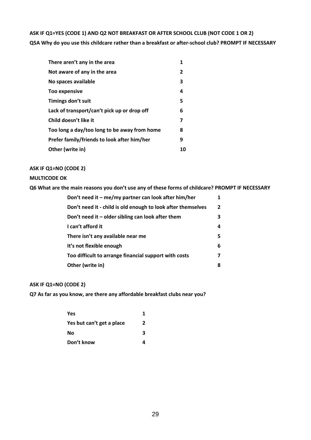### **ASK IF Q1=YES (CODE 1) AND Q2 NOT BREAKFAST OR AFTER SCHOOL CLUB (NOT CODE 1 OR 2) Q5A Why do you use this childcare rather than a breakfast or after-school club? PROMPT IF NECESSARY**

| There aren't any in the area                 | 1              |
|----------------------------------------------|----------------|
| Not aware of any in the area                 | $\overline{2}$ |
| No spaces available                          | 3              |
| Too expensive                                | 4              |
| Timings don't suit                           | 5              |
| Lack of transport/can't pick up or drop off  | 6              |
| Child doesn't like it                        | 7              |
| Too long a day/too long to be away from home | 8              |
| Prefer family/friends to look after him/her  | 9              |
| Other (write in)                             | 10             |

#### **ASK IF Q1=NO (CODE 2)**

#### **MULTICODE OK**

**Q6 What are the main reasons you don't use any of these forms of childcare? PROMPT IF NECESSARY**

| Don't need it – me/my partner can look after him/her         | 1              |
|--------------------------------------------------------------|----------------|
| Don't need it - child is old enough to look after themselves | $\overline{2}$ |
| Don't need it $-$ older sibling can look after them          | 3              |
| I can't afford it                                            | 4              |
| There isn't any available near me                            | 5.             |
| It's not flexible enough                                     | 6              |
| Too difficult to arrange financial support with costs        | 7              |
| Other (write in)                                             | 8              |

#### **ASK IF Q1=NO (CODE 2)**

**Q7 As far as you know, are there any affordable breakfast clubs near you?** 

| Yes                       | 1 |
|---------------------------|---|
| Yes but can't get a place | 2 |
| Νo                        | 3 |
| Don't know                |   |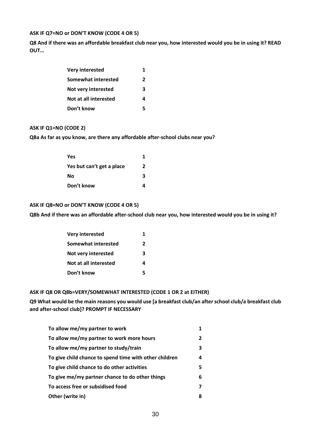#### **ASK IF Q7=NO or DON'T KNOW (CODE 4 OR 5)**

**Q8 And if there was an affordable breakfast club near you, how interested would you be in using it? READ OUT…**

| <b>Very interested</b> | 1 |
|------------------------|---|
| Somewhat interested    | 2 |
| Not very interested    | ર |
| Not at all interested  | Δ |
| Don't know             | 5 |

#### **ASK IF Q1=NO (CODE 2)**

**Q8a As far as you know, are there any affordable after-school clubs near you?**

| Yes                       | 1  |
|---------------------------|----|
| Yes but can't get a place | 2  |
| No                        | 3. |
| Don't know                |    |

#### **ASK IF Q8=NO or DON'T KNOW (CODE 4 OR 5)**

**Q8b And if there was an affordable after-school club near you, how interested would you be in using it?**

| <b>Very interested</b> |   |
|------------------------|---|
| Somewhat interested    | 2 |
| Not very interested    | ર |
| Not at all interested  | Δ |
| Don't know             |   |

#### **ASK IF Q8 OR Q8b=VERY/SOMEWHAT INTERESTED (CODE 1 OR 2 at EITHER)**

**Q9 What would be the main reasons you would use [a breakfast club/an after school club/a breakfast club and after-school club]? PROMPT IF NECESSARY**

| To allow me/my partner to work                         |    |
|--------------------------------------------------------|----|
| To allow me/my partner to work more hours              | 2  |
| To allow me/my partner to study/train                  | з  |
| To give child chance to spend time with other children | 4  |
| To give child chance to do other activities            | 5. |
| To give me/my partner chance to do other things        | 6  |
| To access free or subsidised food                      |    |
| Other (write in)                                       | 8  |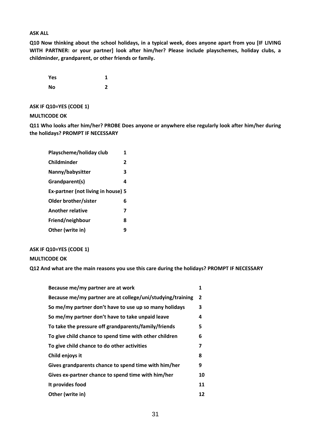#### **ASK ALL**

**Q10 Now thinking about the school holidays, in a typical week, does anyone apart from you [IF LIVING WITH PARTNER: or your partner] look after him/her? Please include playschemes, holiday clubs, a childminder, grandparent, or other friends or family.**

| <b>Yes</b> | 1 |
|------------|---|
| <b>No</b>  | 2 |

#### **ASK IF Q10=YES (CODE 1)**

#### **MULTICODE OK**

**Q11 Who looks after him/her? PROBE Does anyone or anywhere else regularly look after him/her during the holidays? PROMPT IF NECESSARY**

| 1                                  |  |
|------------------------------------|--|
| 2                                  |  |
| 3                                  |  |
| 4                                  |  |
| Ex-partner (not living in house) 5 |  |
| 6                                  |  |
| 7                                  |  |
| 8                                  |  |
| g                                  |  |
|                                    |  |

#### **ASK IF Q10=YES (CODE 1)**

#### **MULTICODE OK**

**Q12 And what are the main reasons you use this care during the holidays? PROMPT IF NECESSARY**

| Because me/my partner are at work                          | 1              |
|------------------------------------------------------------|----------------|
| Because me/my partner are at college/uni/studying/training | $\overline{2}$ |
| So me/my partner don't have to use up so many holidays     | 3              |
| So me/my partner don't have to take unpaid leave           | 4              |
| To take the pressure off grandparents/family/friends       | 5              |
| To give child chance to spend time with other children     | 6              |
| To give child chance to do other activities                | 7              |
| Child enjoys it                                            | 8              |
| Gives grandparents chance to spend time with him/her       | 9              |
| Gives ex-partner chance to spend time with him/her         | 10             |
| It provides food                                           | 11             |
| Other (write in)                                           | 12             |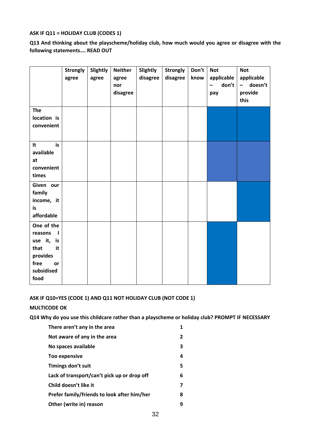#### **ASK IF Q11 = HOLIDAY CLUB (CODES 1)**

**Q13 And thinking about the playscheme/holiday club, how much would you agree or disagree with the following statements…. READ OUT**

|                                                                                                        | <b>Strongly</b><br>agree | Slightly<br>agree | <b>Neither</b><br>agree<br>nor<br>disagree | Slightly<br>disagree | <b>Strongly</b><br>disagree | Don't<br>know | <b>Not</b><br>applicable<br>don't<br>$\overline{\phantom{0}}$<br>pay | <b>Not</b><br>applicable<br>doesn't<br>$\qquad \qquad -$<br>provide<br>this |
|--------------------------------------------------------------------------------------------------------|--------------------------|-------------------|--------------------------------------------|----------------------|-----------------------------|---------------|----------------------------------------------------------------------|-----------------------------------------------------------------------------|
| <b>The</b><br>location is<br>convenient                                                                |                          |                   |                                            |                      |                             |               |                                                                      |                                                                             |
| is<br>It<br>available<br>at<br>convenient<br>times                                                     |                          |                   |                                            |                      |                             |               |                                                                      |                                                                             |
| Given our<br>family<br>income, it<br>is<br>affordable                                                  |                          |                   |                                            |                      |                             |               |                                                                      |                                                                             |
| One of the<br>reasons<br>L<br>use it, is<br>that<br>it<br>provides<br>free<br>or<br>subsidised<br>food |                          |                   |                                            |                      |                             |               |                                                                      |                                                                             |

#### **ASK IF Q10=YES (CODE 1) AND Q11 NOT HOLIDAY CLUB (NOT CODE 1)**

#### **MULTICODE OK**

**Q14 Why do you use this childcare rather than a playscheme or holiday club? PROMPT IF NECESSARY**

| $\mathbf{2}$ |
|--------------|
| 3            |
| 4            |
| 5            |
| 6            |
| 7            |
| 8            |
| q            |
|              |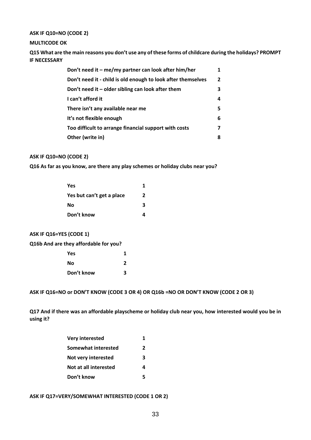#### **ASK IF Q10=NO (CODE 2)**

#### **MULTICODE OK**

**Q15 What are the main reasons you don't use any of these forms of childcare during the holidays? PROMPT IF NECESSARY**

| Don't need it – me/my partner can look after him/her         | 1 |
|--------------------------------------------------------------|---|
| Don't need it - child is old enough to look after themselves | 2 |
| Don't need it $-$ older sibling can look after them          | з |
| I can't afford it                                            | 4 |
| There isn't any available near me                            | 5 |
| It's not flexible enough                                     | 6 |
| Too difficult to arrange financial support with costs        | 7 |
| Other (write in)                                             | 8 |

#### **ASK IF Q10=NO (CODE 2)**

**Q16 As far as you know, are there any play schemes or holiday clubs near you?**

| <b>Yes</b>                |   |
|---------------------------|---|
| Yes but can't get a place | 2 |
| No                        | 3 |
| Don't know                |   |

#### **ASK IF Q16=YES (CODE 1)**

**Q16b And are they affordable for you?**

| Yes        |   |
|------------|---|
| Nο         | 2 |
| Don't know | 3 |

**ASK IF Q16=NO or DON'T KNOW (CODE 3 OR 4) OR Q16b =NO OR DON'T KNOW (CODE 2 OR 3)**

**Q17 And if there was an affordable playscheme or holiday club near you, how interested would you be in using it?**

| <b>Very interested</b> |   |
|------------------------|---|
| Somewhat interested    | 2 |
| Not very interested    | з |
| Not at all interested  | Δ |
| Don't know             | 5 |

**ASK IF Q17=VERY/SOMEWHAT INTERESTED (CODE 1 OR 2)**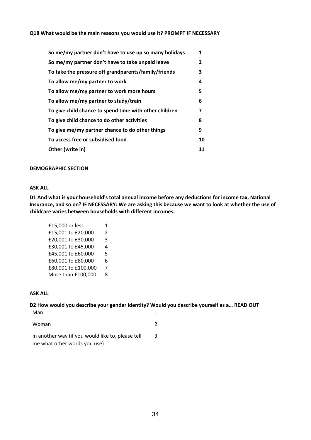#### **Q18 What would be the main reasons you would use it? PROMPT IF NECESSARY**

| So me/my partner don't have to use up so many holidays | 1  |
|--------------------------------------------------------|----|
| So me/my partner don't have to take unpaid leave       | 2  |
| To take the pressure off grandparents/family/friends   | 3  |
| To allow me/my partner to work                         | 4  |
| To allow me/my partner to work more hours              | 5  |
| To allow me/my partner to study/train                  | 6  |
| To give child chance to spend time with other children | 7  |
| To give child chance to do other activities            | 8  |
| To give me/my partner chance to do other things        | 9  |
| To access free or subsidised food                      | 10 |
| Other (write in)                                       | 11 |

#### **DEMOGRAPHIC SECTION**

#### **ASK ALL**

**D1 And what is your household's total annual income before any deductions for income tax, National Insurance, and so on? IF NECESSARY: We are asking this because we want to look at whether the use of childcare varies between households with different incomes.**

```
£15,000 or less 1 
£15,001 to £20,000 2
£20,001 to £30,000 3
£30,001 to £45,000 4
£45,001 to £60,000 5
£60,001 to £80,000 6
£80,001 to £100,000 7
More than £100,000 8
```
#### **ASK ALL**

**D2 How would you describe your gender identity? Would you describe yourself as a… READ OUT** Man 1 Woman 2

In another way (if you would like to, please tell me what other words you use) 3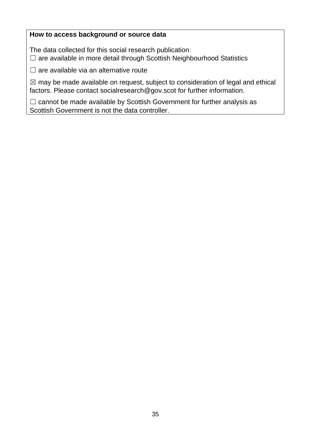### **How to access background or source data**

The data collected for this social research publication: □ are available in more detail through Scottish Neighbourhood Statistics

 $\Box$  are available via an alternative route

 $\boxtimes$  may be made available on request, subject to consideration of legal and ethical factors. Please contact socialresearch@gov.scot for further information.

□ cannot be made available by Scottish Government for further analysis as Scottish Government is not the data controller.